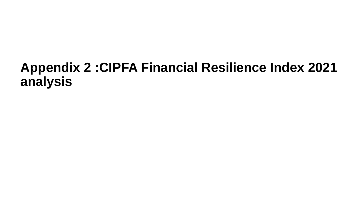# **Appendix 2 :CIPFA Financial Resilience Index 2021 analysis**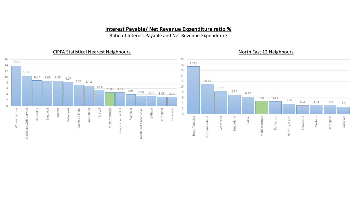### **Interest Payable/ Net Revenue Expenditure ratio %**

Ratio of Interest Payable and Net Revenue Expenditure

#### CIPFA Statistical Nearest Neighbours

#### North East 12 Neighbours

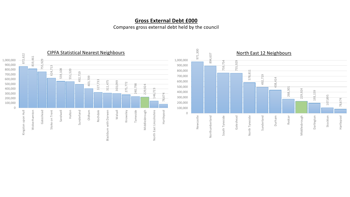# **Gross External Debt £000**

Compares gross external debt held by the council

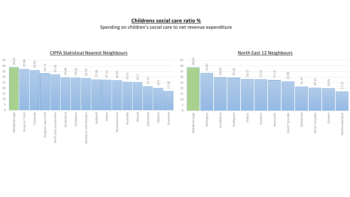# **Childrens social care ratio %**

Spending on children's social care to net revenue expenditure



CIPFA Statistical Nearest Neighbours

North East 12 Neighbours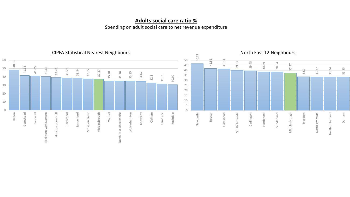# **Adults social care ratio %**

Spending on adult social care to net revenue expenditure

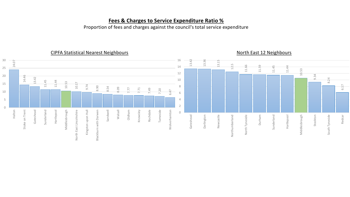### **Fees & Charges to Service Expenditure Ratio %**

Proportion of fees and charges against the council's total service expenditure

#### CIPFA Statistical Nearest Neighbours 30 16 13.42 13.36 24.07 13.15 12.5 11.66 11.59 14 11.45 11.44 25 10.53 12 9.34 20 14.46 13.42 8.24 10 11.45 11.44 10.53 10.17 15 9.74 6.17 8.90 8 8.54 8.09 7.77 7.71 7.49 7.20 6.47 10 6 5 4 2 0 Sunderland Hartlepool Sandwell Walsall Oldham Knowsley Rochdale Tameside Halton Stoke on Trent Gateshead Wolverhamton Middlesbrough North East Lincolnshire Kingston upon Hull Blackburn with Darwen Stoke on Trent North East Lincolnshire Kingston upon Hull Blackburn with Darwen Wolverhamton 0 Darlington Newcastle Hartlepool Stockton South Tyneside Redcar Gateshead Northumberland North Tyneside Durham Northumberland North Tyneside Sunderland Middlesbrough South Tyneside

#### North East 12 Neighbours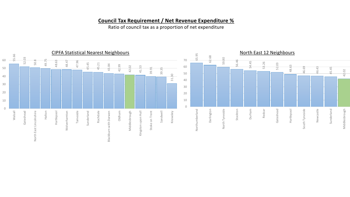# **Council Tax Requirement / Net Revenue Expenditure %**

Ratio of council tax as a proportion of net expenditure

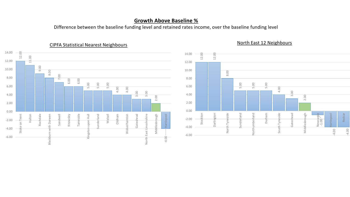#### **Growth Above Baseline %**

Difference between the baseline funding level and retained rates income, over the baseline funding level



#### CIPFA Statistical Nearest Neighbours

North East 12 Neighbours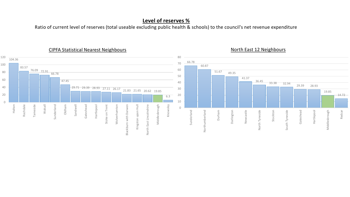# **Level of reserves %**

Ratio of current level of reserves (total useable excluding public health & schools) to the council's net revenue expenditure



#### CIPFA Statistical Nearest Neighbours

North East 12 Neighbours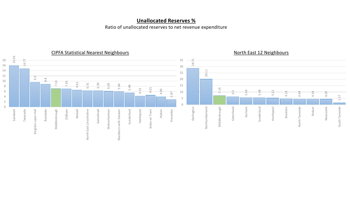# **Unallocated Reserves %**

Ratio of unallocated reserves to net revenue expenditure

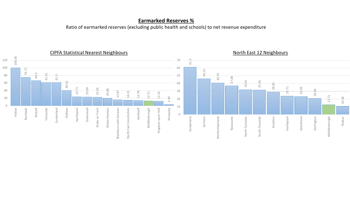#### **Earmarked Reserves %**

Ratio of earmarked reserves (excluding public health and schools) to net revenue expenditure

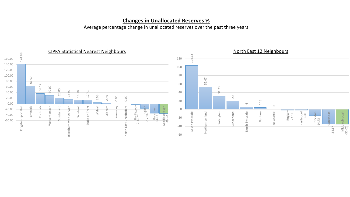### **Changes in Unallocated Reserves %**

Average percentage change in unallocated reserves over the past three years